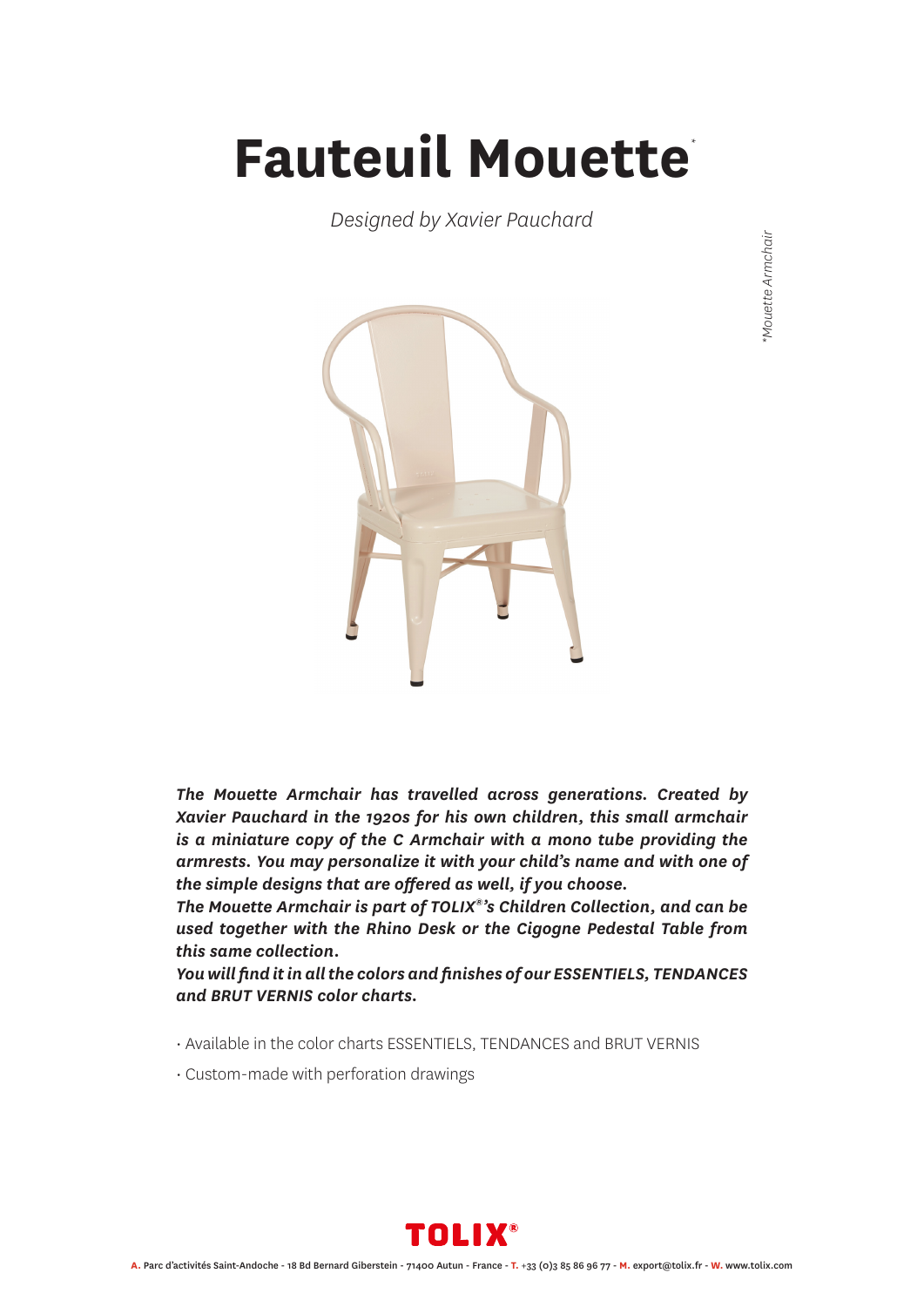## **Fauteuil Mouette** *\**

*Designed by Xavier Pauchard*



*The Mouette Armchair has travelled across generations. Created by Xavier Pauchard in the 1920s for his own children, this small armchair is a miniature copy of the C Armchair with a mono tube providing the armrests. You may personalize it with your child's name and with one of the simple designs that are offered as well, if you choose.*

*The Mouette Armchair is part of TOLIX®'s Children Collection, and can be used together with the Rhino Desk or the Cigogne Pedestal Table from this same collection.*

*You will find it in all the colors and finishes of our ESSENTIELS, TENDANCES and BRUT VERNIS color charts.*

- Available in the color charts ESSENTIELS, TENDANCES and BRUT VERNIS
- Custom-made with perforation drawings